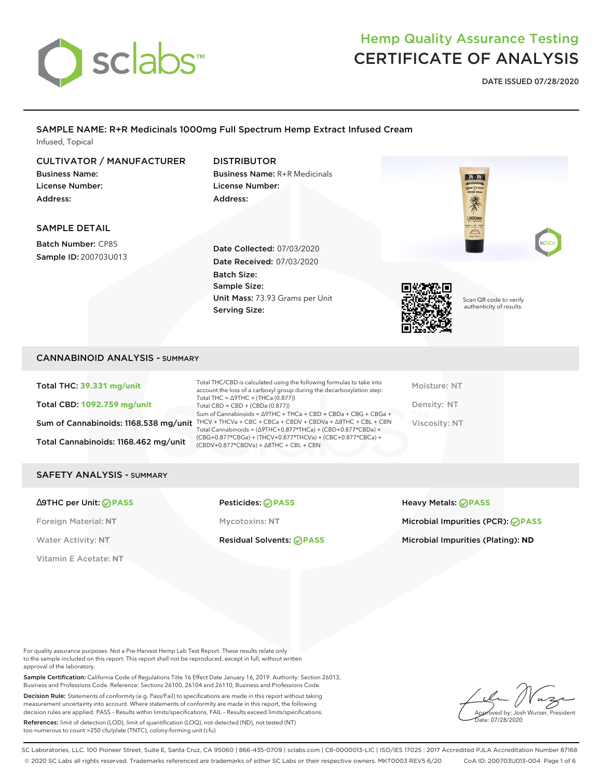

**DATE ISSUED 07/28/2020**

### SAMPLE NAME: R+R Medicinals 1000mg Full Spectrum Hemp Extract Infused Cream Infused, Topical

#### Scan QR code to verify authenticity of results. CULTIVATOR / MANUFACTURER Business Name: License Number: Address: DISTRIBUTOR Business Name: R+R Medicinals License Number: Address: SAMPLE DETAIL Batch Number: CP85 Sample ID: 200703U013 Date Collected: 07/03/2020 Date Received: 07/03/2020 Batch Size: Sample Size: Unit Mass: 73.93 Grams per Unit Serving Size:

### CANNABINOID ANALYSIS - SUMMARY

Total THC: **39.331 mg/unit** Total CBD: **1092.759 mg/unit** Total Cannabinoids: 1168.462 mg/unit

Sum of Cannabinoids: 1168.538 mg/unit THCV + THCVa + CBC + CBCa + CBDV + CBDVa +  $\triangle$ 8THC + CBL + CBN Total THC/CBD is calculated using the following formulas to take into account the loss of a carboxyl group during the decarboxylation step: Total THC = ∆9THC + (THCa (0.877)) Total CBD = CBD + (CBDa (0.877)) Sum of Cannabinoids = ∆9THC + THCa + CBD + CBDa + CBG + CBGa + Total Cannabinoids = (∆9THC+0.877\*THCa) + (CBD+0.877\*CBDa) + (CBG+0.877\*CBGa) + (THCV+0.877\*THCVa) + (CBC+0.877\*CBCa) + (CBDV+0.877\*CBDVa) + ∆8THC + CBL + CBN

Moisture: NT Density: NT Viscosity: NT

#### SAFETY ANALYSIS - SUMMARY

∆9THC per Unit: **PASS** Pesticides: **PASS** Heavy Metals: **PASS**

Vitamin E Acetate: **NT**

Foreign Material: **NT** Mycotoxins: **NT** Microbial Impurities (PCR): **PASS**

Water Activity: NT **Residual Solvents: PASS** Microbial Impurities (Plating): ND

For quality assurance purposes. Not a Pre-Harvest Hemp Lab Test Report. These results relate only to the sample included on this report. This report shall not be reproduced, except in full, without written approval of the laboratory.

Sample Certification: California Code of Regulations Title 16 Effect Date January 16, 2019. Authority: Section 26013, Business and Professions Code. Reference: Sections 26100, 26104 and 26110, Business and Professions Code.

Decision Rule: Statements of conformity (e.g. Pass/Fail) to specifications are made in this report without taking measurement uncertainty into account. Where statements of conformity are made in this report, the following decision rules are applied: PASS – Results within limits/specifications, FAIL – Results exceed limits/specifications.

References: limit of detection (LOD), limit of quantification (LOQ), not detected (ND), not tested (NT) too numerous to count >250 cfu/plate (TNTC), colony-forming unit (cfu)



SC Laboratories, LLC. 100 Pioneer Street, Suite E, Santa Cruz, CA 95060 | 866-435-0709 | sclabs.com | C8-0000013-LIC | ISO/IES 17025 : 2017 Accredited PJLA Accreditation Number 87168 © 2020 SC Labs all rights reserved. Trademarks referenced are trademarks of either SC Labs or their respective owners. MKT0003 REV5 6/20 CoA ID: 200703U013-004 Page 1 of 6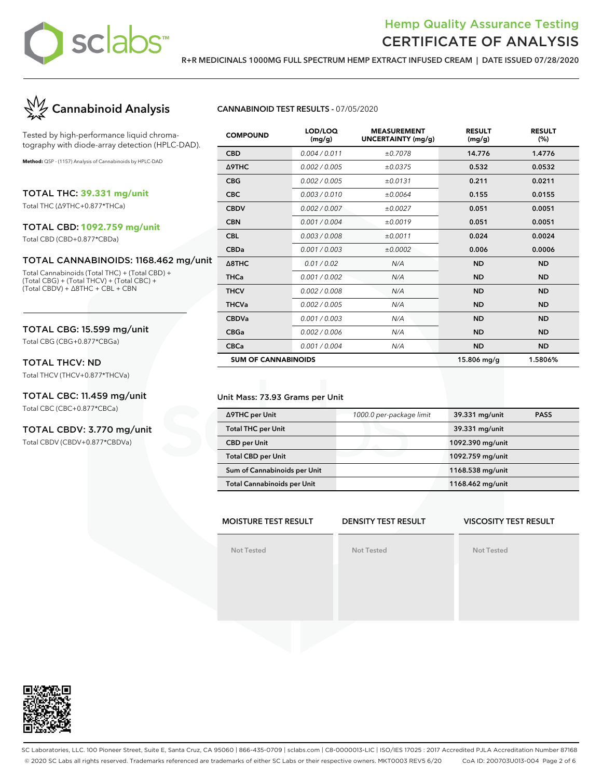

**R+R MEDICINALS 1000MG FULL SPECTRUM HEMP EXTRACT INFUSED CREAM | DATE ISSUED 07/28/2020**



Tested by high-performance liquid chromatography with diode-array detection (HPLC-DAD).

**Method:** QSP - (1157) Analysis of Cannabinoids by HPLC-DAD

TOTAL THC: **39.331 mg/unit**

Total THC (∆9THC+0.877\*THCa)

### TOTAL CBD: **1092.759 mg/unit**

Total CBD (CBD+0.877\*CBDa)

#### TOTAL CANNABINOIDS: 1168.462 mg/unit

Total Cannabinoids (Total THC) + (Total CBD) + (Total CBG) + (Total THCV) + (Total CBC) + (Total CBDV) + ∆8THC + CBL + CBN

### TOTAL CBG: 15.599 mg/unit

Total CBG (CBG+0.877\*CBGa)

### TOTAL THCV: ND

Total THCV (THCV+0.877\*THCVa)

### TOTAL CBC: 11.459 mg/unit

Total CBC (CBC+0.877\*CBCa)

#### TOTAL CBDV: 3.770 mg/unit

Total CBDV (CBDV+0.877\*CBDVa)

#### **CANNABINOID TEST RESULTS -** 07/05/2020

| <b>COMPOUND</b>            | LOD/LOQ<br>(mg/g) | <b>MEASUREMENT</b><br>UNCERTAINTY (mg/g) | <b>RESULT</b><br>(mg/g) | <b>RESULT</b><br>(%) |
|----------------------------|-------------------|------------------------------------------|-------------------------|----------------------|
| <b>CBD</b>                 | 0.004 / 0.011     | ±0.7078                                  | 14.776                  | 1.4776               |
| Δ9THC                      | 0.002 / 0.005     | ±0.0375                                  | 0.532                   | 0.0532               |
| <b>CBG</b>                 | 0.002 / 0.005     | ±0.0131                                  | 0.211                   | 0.0211               |
| <b>CBC</b>                 | 0.003/0.010       | ±0.0064                                  | 0.155                   | 0.0155               |
| <b>CBDV</b>                | 0.002 / 0.007     | ±0.0027                                  | 0.051                   | 0.0051               |
| <b>CBN</b>                 | 0.001 / 0.004     | ±0.0019                                  | 0.051                   | 0.0051               |
| <b>CBL</b>                 | 0.003 / 0.008     | ±0.0011                                  | 0.024                   | 0.0024               |
| <b>CBDa</b>                | 0.001 / 0.003     | ±0.0002                                  | 0.006                   | 0.0006               |
| $\triangle$ 8THC           | 0.01 / 0.02       | N/A                                      | <b>ND</b>               | <b>ND</b>            |
| <b>THCa</b>                | 0.001 / 0.002     | N/A                                      | <b>ND</b>               | <b>ND</b>            |
| <b>THCV</b>                | 0.002 / 0.008     | N/A                                      | <b>ND</b>               | <b>ND</b>            |
| <b>THCVa</b>               | 0.002 / 0.005     | N/A                                      | <b>ND</b>               | <b>ND</b>            |
| <b>CBDVa</b>               | 0.001 / 0.003     | N/A                                      | <b>ND</b>               | <b>ND</b>            |
| <b>CBGa</b>                | 0.002 / 0.006     | N/A                                      | <b>ND</b>               | <b>ND</b>            |
| <b>CBCa</b>                | 0.001 / 0.004     | N/A                                      | <b>ND</b>               | <b>ND</b>            |
| <b>SUM OF CANNABINOIDS</b> |                   |                                          | $15.806$ mg/g           | 1.5806%              |

#### Unit Mass: 73.93 Grams per Unit

| ∆9THC per Unit                     | 1000.0 per-package limit | 39.331 mg/unit   | <b>PASS</b> |
|------------------------------------|--------------------------|------------------|-------------|
| <b>Total THC per Unit</b>          |                          | 39.331 mg/unit   |             |
| <b>CBD per Unit</b>                |                          | 1092.390 mg/unit |             |
| <b>Total CBD per Unit</b>          |                          | 1092.759 mg/unit |             |
| Sum of Cannabinoids per Unit       |                          | 1168.538 mg/unit |             |
| <b>Total Cannabinoids per Unit</b> |                          | 1168.462 mg/unit |             |

#### **MOISTURE TEST RESULT DENSITY TEST RESULT VISCOSITY TEST RESULT**

**Not Tested**



**Not Tested**



SC Laboratories, LLC. 100 Pioneer Street, Suite E, Santa Cruz, CA 95060 | 866-435-0709 | sclabs.com | C8-0000013-LIC | ISO/IES 17025 : 2017 Accredited PJLA Accreditation Number 87168 © 2020 SC Labs all rights reserved. Trademarks referenced are trademarks of either SC Labs or their respective owners. MKT0003 REV5 6/20 CoA ID: 200703U013-004 Page 2 of 6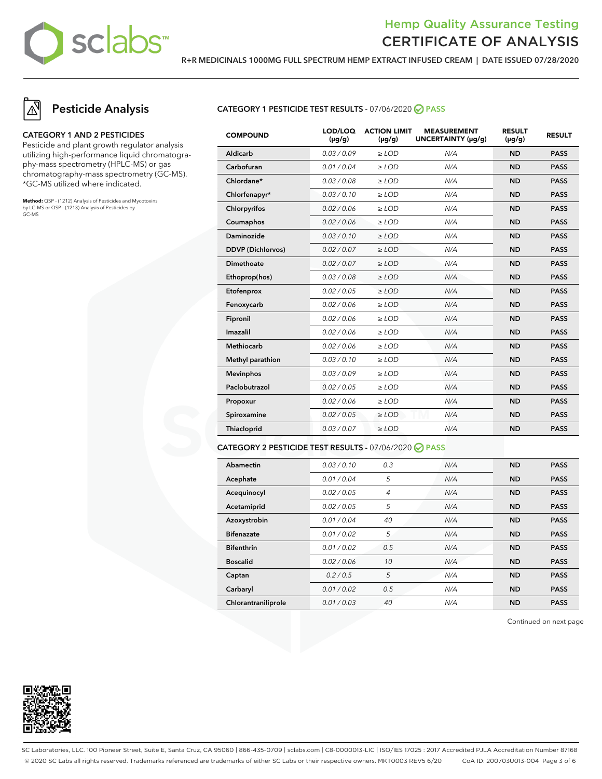

**R+R MEDICINALS 1000MG FULL SPECTRUM HEMP EXTRACT INFUSED CREAM | DATE ISSUED 07/28/2020**

# **Pesticide Analysis**

#### **CATEGORY 1 AND 2 PESTICIDES**

Pesticide and plant growth regulator analysis utilizing high-performance liquid chromatography-mass spectrometry (HPLC-MS) or gas chromatography-mass spectrometry (GC-MS). \*GC-MS utilized where indicated.

**Method:** QSP - (1212) Analysis of Pesticides and Mycotoxins by LC-MS or QSP - (1213) Analysis of Pesticides by GC-MS

#### **CATEGORY 1 PESTICIDE TEST RESULTS -** 07/06/2020 **PASS**

| <b>COMPOUND</b>          | LOD/LOQ<br>$(\mu g/g)$ | <b>ACTION LIMIT</b><br>$(\mu q/q)$ | <b>MEASUREMENT</b><br>UNCERTAINTY (µg/g) | <b>RESULT</b><br>$(\mu g/g)$ | <b>RESULT</b> |
|--------------------------|------------------------|------------------------------------|------------------------------------------|------------------------------|---------------|
| Aldicarb                 | 0.03/0.09              | $>$ LOD                            | N/A                                      | <b>ND</b>                    | <b>PASS</b>   |
| Carbofuran               | 0.01 / 0.04            | $\ge$ LOD                          | N/A                                      | <b>ND</b>                    | <b>PASS</b>   |
| Chlordane*               | 0.03 / 0.08            | $\ge$ LOD                          | N/A                                      | <b>ND</b>                    | <b>PASS</b>   |
| Chlorfenapyr*            | 0.03/0.10              | $\ge$ LOD                          | N/A                                      | <b>ND</b>                    | <b>PASS</b>   |
| Chlorpyrifos             | 0.02 / 0.06            | $\ge$ LOD                          | N/A                                      | <b>ND</b>                    | <b>PASS</b>   |
| Coumaphos                | 0.02 / 0.06            | $\ge$ LOD                          | N/A                                      | <b>ND</b>                    | <b>PASS</b>   |
| Daminozide               | 0.03/0.10              | $\ge$ LOD                          | N/A                                      | <b>ND</b>                    | <b>PASS</b>   |
| <b>DDVP</b> (Dichlorvos) | 0.02 / 0.07            | $\ge$ LOD                          | N/A                                      | <b>ND</b>                    | <b>PASS</b>   |
| <b>Dimethoate</b>        | 0.02 / 0.07            | $\ge$ LOD                          | N/A                                      | <b>ND</b>                    | <b>PASS</b>   |
| Ethoprop(hos)            | 0.03 / 0.08            | $\ge$ LOD                          | N/A                                      | <b>ND</b>                    | <b>PASS</b>   |
| Etofenprox               | 0.02 / 0.05            | $\ge$ LOD                          | N/A                                      | <b>ND</b>                    | <b>PASS</b>   |
| Fenoxycarb               | 0.02 / 0.06            | $\ge$ LOD                          | N/A                                      | <b>ND</b>                    | <b>PASS</b>   |
| Fipronil                 | 0.02 / 0.06            | $\ge$ LOD                          | N/A                                      | <b>ND</b>                    | <b>PASS</b>   |
| Imazalil                 | 0.02 / 0.06            | $\ge$ LOD                          | N/A                                      | <b>ND</b>                    | <b>PASS</b>   |
| <b>Methiocarb</b>        | 0.02 / 0.06            | $\ge$ LOD                          | N/A                                      | <b>ND</b>                    | <b>PASS</b>   |
| Methyl parathion         | 0.03/0.10              | $\ge$ LOD                          | N/A                                      | <b>ND</b>                    | <b>PASS</b>   |
| <b>Mevinphos</b>         | 0.03/0.09              | $\ge$ LOD                          | N/A                                      | <b>ND</b>                    | <b>PASS</b>   |
| Paclobutrazol            | 0.02 / 0.05            | $>$ LOD                            | N/A                                      | <b>ND</b>                    | <b>PASS</b>   |
| Propoxur                 | 0.02 / 0.06            | $\ge$ LOD                          | N/A                                      | <b>ND</b>                    | <b>PASS</b>   |
| Spiroxamine              | 0.02 / 0.05            | $\ge$ LOD                          | N/A                                      | <b>ND</b>                    | <b>PASS</b>   |
| Thiacloprid              | 0.03 / 0.07            | $\ge$ LOD                          | N/A                                      | <b>ND</b>                    | <b>PASS</b>   |
|                          |                        |                                    |                                          |                              |               |

#### **CATEGORY 2 PESTICIDE TEST RESULTS -** 07/06/2020 **PASS**

| Abamectin           | 0.03/0.10   | 0.3            | N/A | <b>ND</b> | <b>PASS</b> |
|---------------------|-------------|----------------|-----|-----------|-------------|
| Acephate            | 0.01 / 0.04 | 5              | N/A | <b>ND</b> | <b>PASS</b> |
| Acequinocyl         | 0.02 / 0.05 | $\overline{4}$ | N/A | <b>ND</b> | <b>PASS</b> |
| Acetamiprid         | 0.02/0.05   | 5              | N/A | <b>ND</b> | <b>PASS</b> |
| Azoxystrobin        | 0.01/0.04   | 40             | N/A | <b>ND</b> | <b>PASS</b> |
| <b>Bifenazate</b>   | 0.01 / 0.02 | 5              | N/A | <b>ND</b> | <b>PASS</b> |
| <b>Bifenthrin</b>   | 0.01/0.02   | 0.5            | N/A | <b>ND</b> | <b>PASS</b> |
| <b>Boscalid</b>     | 0.02 / 0.06 | 10             | N/A | <b>ND</b> | <b>PASS</b> |
| Captan              | 0.2/0.5     | 5              | N/A | <b>ND</b> | <b>PASS</b> |
| Carbaryl            | 0.01 / 0.02 | 0.5            | N/A | <b>ND</b> | <b>PASS</b> |
| Chlorantraniliprole | 0.01 / 0.03 | 40             | N/A | <b>ND</b> | <b>PASS</b> |

Continued on next page



SC Laboratories, LLC. 100 Pioneer Street, Suite E, Santa Cruz, CA 95060 | 866-435-0709 | sclabs.com | C8-0000013-LIC | ISO/IES 17025 : 2017 Accredited PJLA Accreditation Number 87168 © 2020 SC Labs all rights reserved. Trademarks referenced are trademarks of either SC Labs or their respective owners. MKT0003 REV5 6/20 CoA ID: 200703U013-004 Page 3 of 6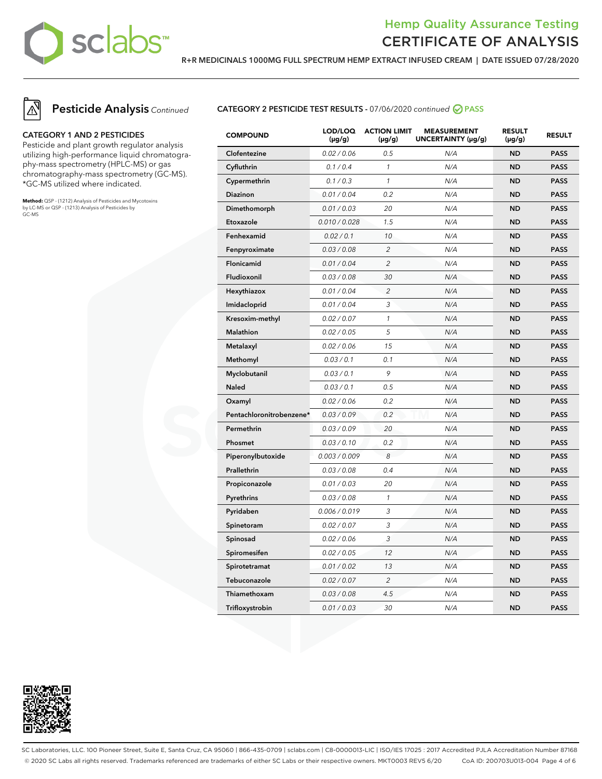

**R+R MEDICINALS 1000MG FULL SPECTRUM HEMP EXTRACT INFUSED CREAM | DATE ISSUED 07/28/2020**



# **Pesticide Analysis** Continued

#### **CATEGORY 1 AND 2 PESTICIDES**

Pesticide and plant growth regulator analysis utilizing high-performance liquid chromatography-mass spectrometry (HPLC-MS) or gas chromatography-mass spectrometry (GC-MS). \*GC-MS utilized where indicated.

**Method:** QSP - (1212) Analysis of Pesticides and Mycotoxins by LC-MS or QSP - (1213) Analysis of Pesticides by GC-MS

#### **CATEGORY 2 PESTICIDE TEST RESULTS -** 07/06/2020 continued **PASS**

| <b>COMPOUND</b>          | LOD/LOQ<br>$(\mu g/g)$ | <b>ACTION LIMIT</b><br>$(\mu g/g)$ | <b>MEASUREMENT</b><br>UNCERTAINTY (µg/g) | <b>RESULT</b><br>$(\mu g/g)$ | <b>RESULT</b> |
|--------------------------|------------------------|------------------------------------|------------------------------------------|------------------------------|---------------|
| Clofentezine             | 0.02 / 0.06            | 0.5                                | N/A                                      | <b>ND</b>                    | <b>PASS</b>   |
| Cyfluthrin               | 0.1 / 0.4              | $\mathcal{I}$                      | N/A                                      | <b>ND</b>                    | <b>PASS</b>   |
| Cypermethrin             | 0.1 / 0.3              | $\mathcal{I}$                      | N/A                                      | <b>ND</b>                    | <b>PASS</b>   |
| Diazinon                 | 0.01 / 0.04            | 0.2                                | N/A                                      | <b>ND</b>                    | <b>PASS</b>   |
| Dimethomorph             | 0.01 / 0.03            | 20                                 | N/A                                      | <b>ND</b>                    | <b>PASS</b>   |
| Etoxazole                | 0.010 / 0.028          | 1.5                                | N/A                                      | <b>ND</b>                    | <b>PASS</b>   |
| Fenhexamid               | 0.02 / 0.1             | 10                                 | N/A                                      | <b>ND</b>                    | <b>PASS</b>   |
| Fenpyroximate            | 0.03 / 0.08            | $\overline{2}$                     | N/A                                      | <b>ND</b>                    | <b>PASS</b>   |
| Flonicamid               | 0.01 / 0.04            | $\overline{c}$                     | N/A                                      | ND                           | <b>PASS</b>   |
| Fludioxonil              | 0.03 / 0.08            | 30                                 | N/A                                      | ND                           | <b>PASS</b>   |
| Hexythiazox              | 0.01 / 0.04            | $\overline{c}$                     | N/A                                      | <b>ND</b>                    | <b>PASS</b>   |
| Imidacloprid             | 0.01 / 0.04            | 3                                  | N/A                                      | <b>ND</b>                    | <b>PASS</b>   |
| Kresoxim-methyl          | 0.02 / 0.07            | $\mathcal{I}$                      | N/A                                      | <b>ND</b>                    | <b>PASS</b>   |
| <b>Malathion</b>         | 0.02 / 0.05            | 5                                  | N/A                                      | <b>ND</b>                    | <b>PASS</b>   |
| Metalaxyl                | 0.02 / 0.06            | 15                                 | N/A                                      | <b>ND</b>                    | <b>PASS</b>   |
| Methomyl                 | 0.03 / 0.1             | 0.1                                | N/A                                      | <b>ND</b>                    | <b>PASS</b>   |
| Myclobutanil             | 0.03 / 0.1             | 9                                  | N/A                                      | <b>ND</b>                    | <b>PASS</b>   |
| <b>Naled</b>             | 0.03 / 0.1             | 0.5                                | N/A                                      | ND                           | <b>PASS</b>   |
| Oxamyl                   | 0.02 / 0.06            | 0.2                                | N/A                                      | <b>ND</b>                    | <b>PASS</b>   |
| Pentachloronitrobenzene* | 0.03 / 0.09            | 0.2                                | N/A                                      | <b>ND</b>                    | <b>PASS</b>   |
| Permethrin               | 0.03 / 0.09            | 20                                 | N/A                                      | <b>ND</b>                    | <b>PASS</b>   |
| Phosmet                  | 0.03 / 0.10            | 0.2                                | N/A                                      | <b>ND</b>                    | <b>PASS</b>   |
| Piperonylbutoxide        | 0.003 / 0.009          | 8                                  | N/A                                      | <b>ND</b>                    | <b>PASS</b>   |
| Prallethrin              | 0.03 / 0.08            | 0.4                                | N/A                                      | <b>ND</b>                    | <b>PASS</b>   |
| Propiconazole            | 0.01 / 0.03            | 20                                 | N/A                                      | <b>ND</b>                    | <b>PASS</b>   |
| Pyrethrins               | 0.03 / 0.08            | $\mathcal{I}$                      | N/A                                      | ND                           | <b>PASS</b>   |
| Pyridaben                | 0.006 / 0.019          | 3                                  | N/A                                      | ND                           | <b>PASS</b>   |
| Spinetoram               | 0.02 / 0.07            | 3                                  | N/A                                      | <b>ND</b>                    | <b>PASS</b>   |
| Spinosad                 | 0.02 / 0.06            | 3                                  | N/A                                      | <b>ND</b>                    | <b>PASS</b>   |
| Spiromesifen             | 0.02 / 0.05            | 12                                 | N/A                                      | <b>ND</b>                    | <b>PASS</b>   |
| Spirotetramat            | 0.01 / 0.02            | 13                                 | N/A                                      | <b>ND</b>                    | <b>PASS</b>   |
| Tebuconazole             | 0.02 / 0.07            | $\overline{c}$                     | N/A                                      | <b>ND</b>                    | <b>PASS</b>   |
| Thiamethoxam             | 0.03 / 0.08            | 4.5                                | N/A                                      | ND                           | <b>PASS</b>   |
| Trifloxystrobin          | 0.01 / 0.03            | 30                                 | N/A                                      | <b>ND</b>                    | <b>PASS</b>   |



SC Laboratories, LLC. 100 Pioneer Street, Suite E, Santa Cruz, CA 95060 | 866-435-0709 | sclabs.com | C8-0000013-LIC | ISO/IES 17025 : 2017 Accredited PJLA Accreditation Number 87168 © 2020 SC Labs all rights reserved. Trademarks referenced are trademarks of either SC Labs or their respective owners. MKT0003 REV5 6/20 CoA ID: 200703U013-004 Page 4 of 6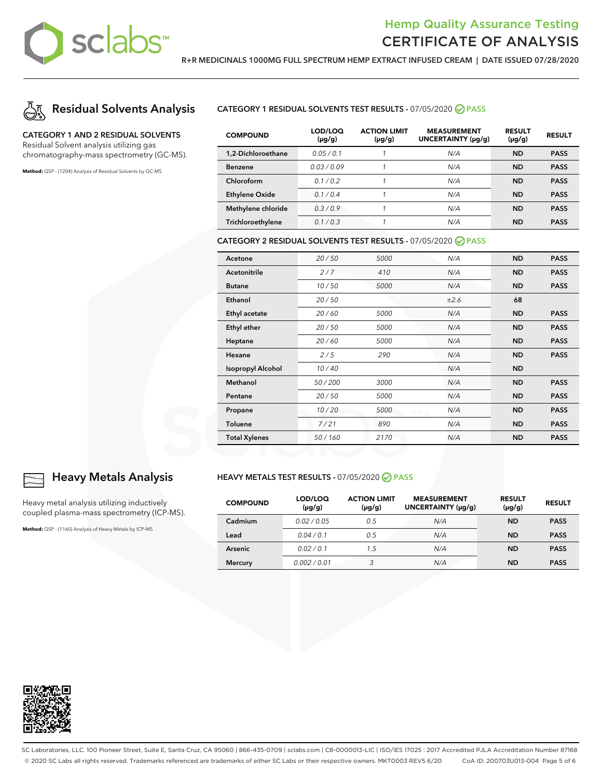

**R+R MEDICINALS 1000MG FULL SPECTRUM HEMP EXTRACT INFUSED CREAM | DATE ISSUED 07/28/2020**



### **CATEGORY 1 AND 2 RESIDUAL SOLVENTS**

Residual Solvent analysis utilizing gas chromatography-mass spectrometry (GC-MS).

**Method:** QSP - (1204) Analysis of Residual Solvents by GC-MS

**CATEGORY 1 RESIDUAL SOLVENTS TEST RESULTS -** 07/05/2020 **PASS**

| <b>COMPOUND</b>       | LOD/LOQ<br>$(\mu g/g)$ | <b>ACTION LIMIT</b><br>$(\mu g/g)$ | <b>MEASUREMENT</b><br>UNCERTAINTY (µq/q) | <b>RESULT</b><br>$(\mu g/g)$ | <b>RESULT</b> |
|-----------------------|------------------------|------------------------------------|------------------------------------------|------------------------------|---------------|
| 1,2-Dichloroethane    | 0.05/0.1               |                                    | N/A                                      | <b>ND</b>                    | <b>PASS</b>   |
| <b>Benzene</b>        | 0.03/0.09              |                                    | N/A                                      | <b>ND</b>                    | <b>PASS</b>   |
| Chloroform            | 0.1/0.2                |                                    | N/A                                      | <b>ND</b>                    | <b>PASS</b>   |
| <b>Ethylene Oxide</b> | 0.1/0.4                |                                    | N/A                                      | <b>ND</b>                    | <b>PASS</b>   |
| Methylene chloride    | 0.3/0.9                |                                    | N/A                                      | <b>ND</b>                    | <b>PASS</b>   |
| Trichloroethylene     | 0.1/0.3                | ٠                                  | N/A                                      | ND                           | <b>PASS</b>   |

#### **CATEGORY 2 RESIDUAL SOLVENTS TEST RESULTS -** 07/05/2020 **PASS**

| Acetone                  | 20/50  | 5000 | N/A  | <b>ND</b> | <b>PASS</b> |
|--------------------------|--------|------|------|-----------|-------------|
| Acetonitrile             | 2/7    | 410  | N/A  | <b>ND</b> | <b>PASS</b> |
| <b>Butane</b>            | 10/50  | 5000 | N/A  | <b>ND</b> | <b>PASS</b> |
| Ethanol                  | 20/50  |      | ±2.6 | 68        |             |
| Ethyl acetate            | 20/60  | 5000 | N/A  | <b>ND</b> | <b>PASS</b> |
| Ethyl ether              | 20/50  | 5000 | N/A  | <b>ND</b> | <b>PASS</b> |
| Heptane                  | 20/60  | 5000 | N/A  | <b>ND</b> | <b>PASS</b> |
| Hexane                   | 2/5    | 290  | N/A  | <b>ND</b> | <b>PASS</b> |
| <b>Isopropyl Alcohol</b> | 10/40  |      | N/A  | <b>ND</b> |             |
| Methanol                 | 50/200 | 3000 | N/A  | <b>ND</b> | <b>PASS</b> |
| Pentane                  | 20/50  | 5000 | N/A  | <b>ND</b> | <b>PASS</b> |
| Propane                  | 10/20  | 5000 | N/A  | <b>ND</b> | <b>PASS</b> |
| <b>Toluene</b>           | 7/21   | 890  | N/A  | <b>ND</b> | <b>PASS</b> |
| <b>Total Xylenes</b>     | 50/160 | 2170 | N/A  | <b>ND</b> | <b>PASS</b> |

#### **HEAVY METALS TEST RESULTS -** 07/05/2020 **PASS**

| <b>COMPOUND</b> | LOD/LOQ<br>$(\mu g/g)$ | <b>ACTION LIMIT</b><br>$(\mu g/g)$ | <b>MEASUREMENT</b><br>UNCERTAINTY (µg/g) | <b>RESULT</b><br>$(\mu g/g)$ | <b>RESULT</b> |
|-----------------|------------------------|------------------------------------|------------------------------------------|------------------------------|---------------|
| Cadmium         | 0.02/0.05              | 0.5                                | N/A                                      | <b>ND</b>                    | <b>PASS</b>   |
| Lead            | 0.04/0.1               | 0.5                                | N/A                                      | <b>ND</b>                    | <b>PASS</b>   |
| <b>Arsenic</b>  | 0.02 / 0.1             | 1.5                                | N/A                                      | <b>ND</b>                    | <b>PASS</b>   |
| <b>Mercury</b>  | 0.002/0.01             | 3                                  | N/A                                      | <b>ND</b>                    | <b>PASS</b>   |



### **Heavy Metals Analysis**

Heavy metal analysis utilizing inductively coupled plasma-mass spectrometry (ICP-MS).

**Method:** QSP - (1160) Analysis of Heavy Metals by ICP-MS



SC Laboratories, LLC. 100 Pioneer Street, Suite E, Santa Cruz, CA 95060 | 866-435-0709 | sclabs.com | C8-0000013-LIC | ISO/IES 17025 : 2017 Accredited PJLA Accreditation Number 87168 © 2020 SC Labs all rights reserved. Trademarks referenced are trademarks of either SC Labs or their respective owners. MKT0003 REV5 6/20 CoA ID: 200703U013-004 Page 5 of 6